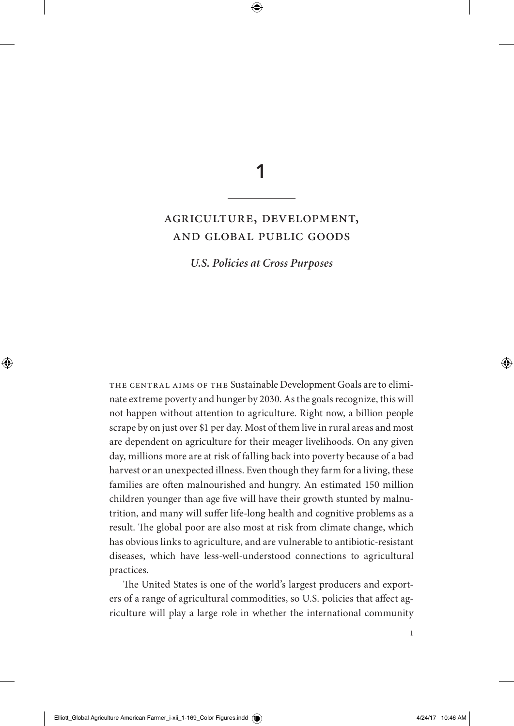## 1

## agriculture, development, and global public goods

*U.S. Policies at Cross Purposes*

THE CENTRAL AIMS OF THE Sustainable Development Goals are to eliminate extreme poverty and hunger by 2030. As the goals recognize, this will not happen without attention to agriculture. Right now, a billion people scrape by on just over \$1 per day. Most of them live in rural areas and most are dependent on agriculture for their meager livelihoods. On any given day, millions more are at risk of falling back into poverty because of a bad harvest or an unexpected illness. Even though they farm for a living, these families are often malnourished and hungry. An estimated 150 million children younger than age five will have their growth stunted by malnutrition, and many will suffer life-long health and cognitive problems as a result. The global poor are also most at risk from climate change, which has obvious links to agriculture, and are vulnerable to antibiotic-resistant diseases, which have less-well-understood connections to agricultural practices.

The United States is one of the world's largest producers and exporters of a range of agricultural commodities, so U.S. policies that affect agriculture will play a large role in whether the international community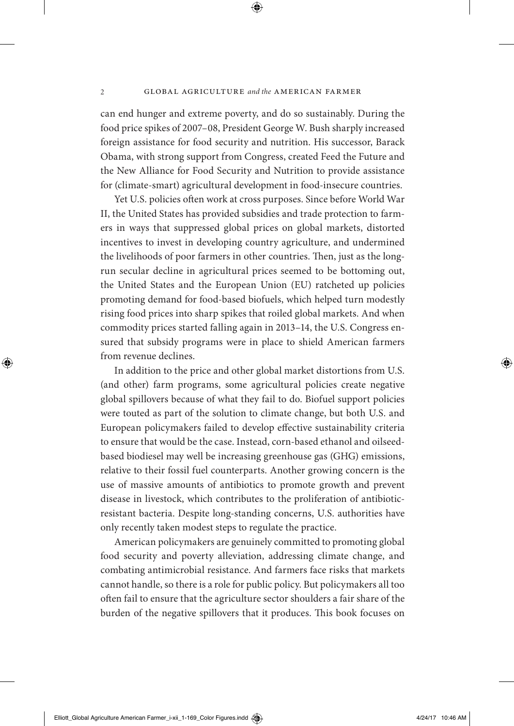can end hunger and extreme poverty, and do so sustainably. During the food price spikes of 2007–08, President George W. Bush sharply increased foreign assistance for food security and nutrition. His successor, Barack Obama, with strong support from Congress, created Feed the Future and the New Alliance for Food Security and Nutrition to provide assistance for (climate-smart) agricultural development in food-insecure countries.

Yet U.S. policies often work at cross purposes. Since before World War II, the United States has provided subsidies and trade protection to farmers in ways that suppressed global prices on global markets, distorted incentives to invest in developing country agriculture, and undermined the livelihoods of poor farmers in other countries. Then, just as the longrun secular decline in agricultural prices seemed to be bottoming out, the United States and the European Union (EU) ratcheted up policies promoting demand for food-based biofuels, which helped turn modestly rising food prices into sharp spikes that roiled global markets. And when commodity prices started falling again in 2013–14, the U.S. Congress ensured that subsidy programs were in place to shield American farmers from revenue declines.

In addition to the price and other global market distortions from U.S. (and other) farm programs, some agricultural policies create negative global spillovers because of what they fail to do. Biofuel support policies were touted as part of the solution to climate change, but both U.S. and European policymakers failed to develop effective sustainability criteria to ensure that would be the case. Instead, corn-based ethanol and oilseedbased biodiesel may well be increasing greenhouse gas (GHG) emissions, relative to their fossil fuel counterparts. Another growing concern is the use of massive amounts of antibiotics to promote growth and prevent disease in livestock, which contributes to the proliferation of antibioticresistant bacteria. Despite long-standing concerns, U.S. authorities have only recently taken modest steps to regulate the practice.

American policymakers are genuinely committed to promoting global food security and poverty alleviation, addressing climate change, and combating antimicrobial resistance. And farmers face risks that markets cannot handle, so there is a role for public policy. But policymakers all too often fail to ensure that the agriculture sector shoulders a fair share of the burden of the negative spillovers that it produces. This book focuses on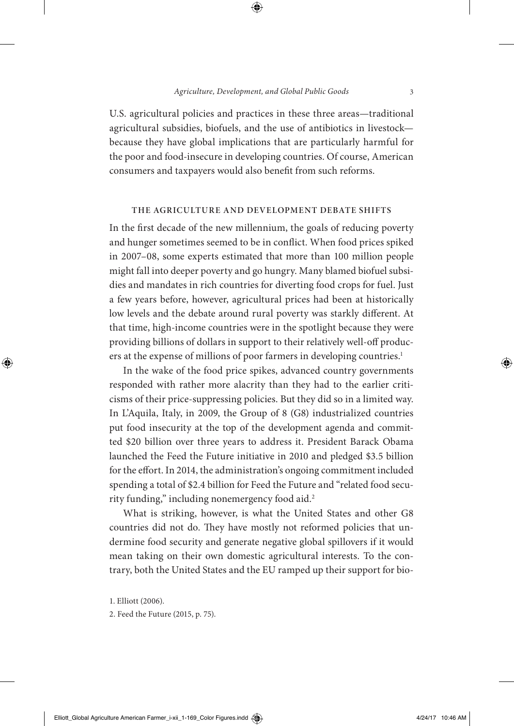U.S. agricultural policies and practices in these three areas—traditional agricultural subsidies, biofuels, and the use of antibiotics in livestock because they have global implications that are particularly harmful for the poor and food-insecure in developing countries. Of course, American consumers and taxpayers would also benefit from such reforms.

## **THE AGRICULTURE AND DEVELOPMENT DEBATE SHIFTS**

In the first decade of the new millennium, the goals of reducing poverty and hunger sometimes seemed to be in conflict. When food prices spiked in 2007–08, some experts estimated that more than 100 million people might fall into deeper poverty and go hungry. Many blamed biofuel subsidies and mandates in rich countries for diverting food crops for fuel. Just a few years before, however, agricultural prices had been at historically low levels and the debate around rural poverty was starkly different. At that time, high-income countries were in the spotlight because they were providing billions of dollars in support to their relatively well-off producers at the expense of millions of poor farmers in developing countries.<sup>1</sup>

In the wake of the food price spikes, advanced country governments responded with rather more alacrity than they had to the earlier criticisms of their price-suppressing policies. But they did so in a limited way. In L'Aquila, Italy, in 2009, the Group of 8 (G8) industrialized countries put food insecurity at the top of the development agenda and committed \$20 billion over three years to address it. President Barack Obama launched the Feed the Future initiative in 2010 and pledged \$3.5 billion for the effort. In 2014, the administration's ongoing commitment included spending a total of \$2.4 billion for Feed the Future and "related food security funding," including nonemergency food aid.<sup>2</sup>

What is striking, however, is what the United States and other G8 countries did not do. They have mostly not reformed policies that undermine food security and generate negative global spillovers if it would mean taking on their own domestic agricultural interests. To the contrary, both the United States and the EU ramped up their support for bio-

2. Feed the Future (2015, p. 75).

<sup>1.</sup> Elliott (2006).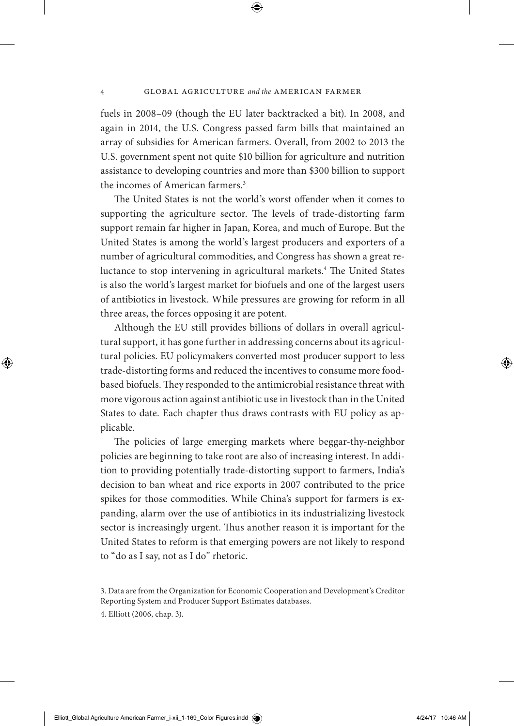fuels in 2008–09 (though the EU later backtracked a bit). In 2008, and again in 2014, the U.S. Congress passed farm bills that maintained an array of subsidies for American farmers. Overall, from 2002 to 2013 the U.S. government spent not quite \$10 billion for agriculture and nutrition assistance to developing countries and more than \$300 billion to support the incomes of American farmers.<sup>3</sup>

The United States is not the world's worst offender when it comes to supporting the agriculture sector. The levels of trade-distorting farm support remain far higher in Japan, Korea, and much of Europe. But the United States is among the world's largest producers and exporters of a number of agricultural commodities, and Congress has shown a great reluctance to stop intervening in agricultural markets.<sup>4</sup> The United States is also the world's largest market for biofuels and one of the largest users of antibiotics in livestock. While pressures are growing for reform in all three areas, the forces opposing it are potent.

Although the EU still provides billions of dollars in overall agricultural support, it has gone further in addressing concerns about its agricultural policies. EU policymakers converted most producer support to less trade-distorting forms and reduced the incentives to consume more foodbased biofuels. They responded to the antimicrobial resistance threat with more vigorous action against antibiotic use in livestock than in the United States to date. Each chapter thus draws contrasts with EU policy as applicable.

The policies of large emerging markets where beggar-thy-neighbor policies are beginning to take root are also of increasing interest. In addition to providing potentially trade-distorting support to farmers, India's decision to ban wheat and rice exports in 2007 contributed to the price spikes for those commodities. While China's support for farmers is expanding, alarm over the use of antibiotics in its industrializing livestock sector is increasingly urgent. Thus another reason it is important for the United States to reform is that emerging powers are not likely to respond to "do as I say, not as I do" rhetoric.

<sup>3.</sup> Data are from the Organization for Economic Cooperation and Development's Creditor Reporting System and Producer Support Estimates databases.

<sup>4.</sup> Elliott (2006, chap. 3).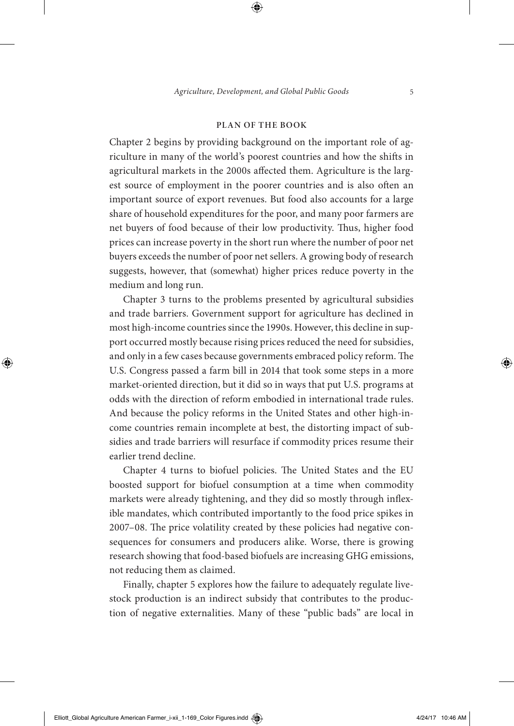## **PLAN OF THE BOOK**

Chapter 2 begins by providing background on the important role of agriculture in many of the world's poorest countries and how the shifts in agricultural markets in the 2000s affected them. Agriculture is the largest source of employment in the poorer countries and is also often an important source of export revenues. But food also accounts for a large share of household expenditures for the poor, and many poor farmers are net buyers of food because of their low productivity. Thus, higher food prices can increase poverty in the short run where the number of poor net buyers exceeds the number of poor net sellers. A growing body of research suggests, however, that (somewhat) higher prices reduce poverty in the medium and long run.

Chapter 3 turns to the problems presented by agricultural subsidies and trade barriers. Government support for agriculture has declined in most high-income countries since the 1990s. However, this decline in support occurred mostly because rising prices reduced the need for subsidies, and only in a few cases because governments embraced policy reform. The U.S. Congress passed a farm bill in 2014 that took some steps in a more market-oriented direction, but it did so in ways that put U.S. programs at odds with the direction of reform embodied in international trade rules. And because the policy reforms in the United States and other high-income countries remain incomplete at best, the distorting impact of subsidies and trade barriers will resurface if commodity prices resume their earlier trend decline.

Chapter 4 turns to biofuel policies. The United States and the EU boosted support for biofuel consumption at a time when commodity markets were already tightening, and they did so mostly through inflexible mandates, which contributed importantly to the food price spikes in 2007–08. The price volatility created by these policies had negative consequences for consumers and producers alike. Worse, there is growing research showing that food-based biofuels are increasing GHG emissions, not reducing them as claimed.

Finally, chapter 5 explores how the failure to adequately regulate livestock production is an indirect subsidy that contributes to the production of negative externalities. Many of these "public bads" are local in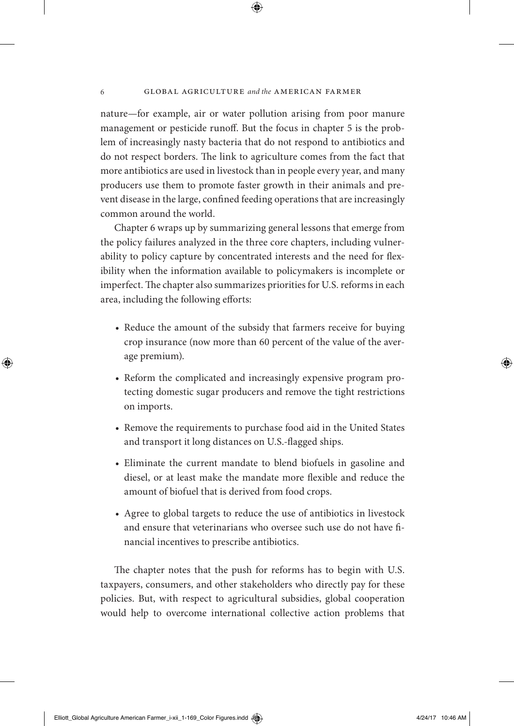nature—for example, air or water pollution arising from poor manure management or pesticide runoff. But the focus in chapter 5 is the problem of increasingly nasty bacteria that do not respond to antibiotics and do not respect borders. The link to agriculture comes from the fact that more antibiotics are used in livestock than in people every year, and many producers use them to promote faster growth in their animals and prevent disease in the large, confined feeding operations that are increasingly common around the world.

Chapter 6 wraps up by summarizing general lessons that emerge from the policy failures analyzed in the three core chapters, including vulnerability to policy capture by concentrated interests and the need for flexibility when the information available to policymakers is incomplete or imperfect. The chapter also summarizes priorities for U.S. reforms in each area, including the following efforts:

- Reduce the amount of the subsidy that farmers receive for buying crop insurance (now more than 60 percent of the value of the average premium).
- Reform the complicated and increasingly expensive program protecting domestic sugar producers and remove the tight restrictions on imports.
- Remove the requirements to purchase food aid in the United States and transport it long distances on U.S.-flagged ships.
- Eliminate the current mandate to blend biofuels in gasoline and diesel, or at least make the mandate more flexible and reduce the amount of biofuel that is derived from food crops.
- Agree to global targets to reduce the use of antibiotics in livestock and ensure that veterinarians who oversee such use do not have financial incentives to prescribe antibiotics.

The chapter notes that the push for reforms has to begin with U.S. taxpayers, consumers, and other stakeholders who directly pay for these policies. But, with respect to agricultural subsidies, global cooperation would help to overcome international collective action problems that